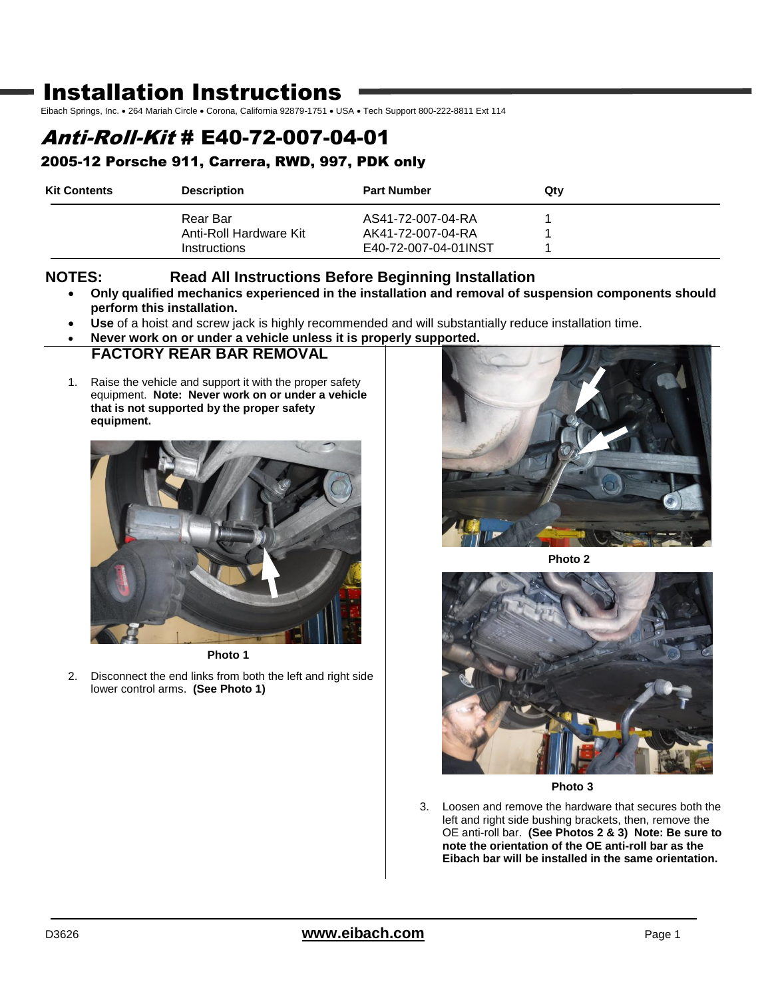# Installation Instructions

Eibach Springs, Inc. . 264 Mariah Circle . Corona, California 92879-1751 . USA . Tech Support 800-222-8811 Ext 114

# Anti-Roll-Kit # E40-72-007-04-01

## 2005-12 Porsche 911, Carrera, RWD, 997, PDK only

| <b>Kit Contents</b> | <b>Description</b>                     | <b>Part Number</b>                        | Qtv |  |
|---------------------|----------------------------------------|-------------------------------------------|-----|--|
|                     | Rear Bar                               | AS41-72-007-04-RA                         |     |  |
|                     | Anti-Roll Hardware Kit<br>Instructions | AK41-72-007-04-RA<br>E40-72-007-04-01INST |     |  |

#### **NOTES: Read All Instructions Before Beginning Installation**

- **Only qualified mechanics experienced in the installation and removal of suspension components should perform this installation.**
- **Use** of a hoist and screw jack is highly recommended and will substantially reduce installation time.
- **Never work on or under a vehicle unless it is properly supported.**

### **FACTORY REAR BAR REMOVAL**

1. Raise the vehicle and support it with the proper safety equipment. **Note: Never work on or under a vehicle that is not supported by the proper safety equipment.**



**Photo 1**

2. Disconnect the end links from both the left and right side lower control arms. **(See Photo 1)**



**Photo 2**



**Photo 3**

3. Loosen and remove the hardware that secures both the left and right side bushing brackets, then, remove the OE anti-roll bar. **(See Photos 2 & 3) Note: Be sure to note the orientation of the OE anti-roll bar as the Eibach bar will be installed in the same orientation.**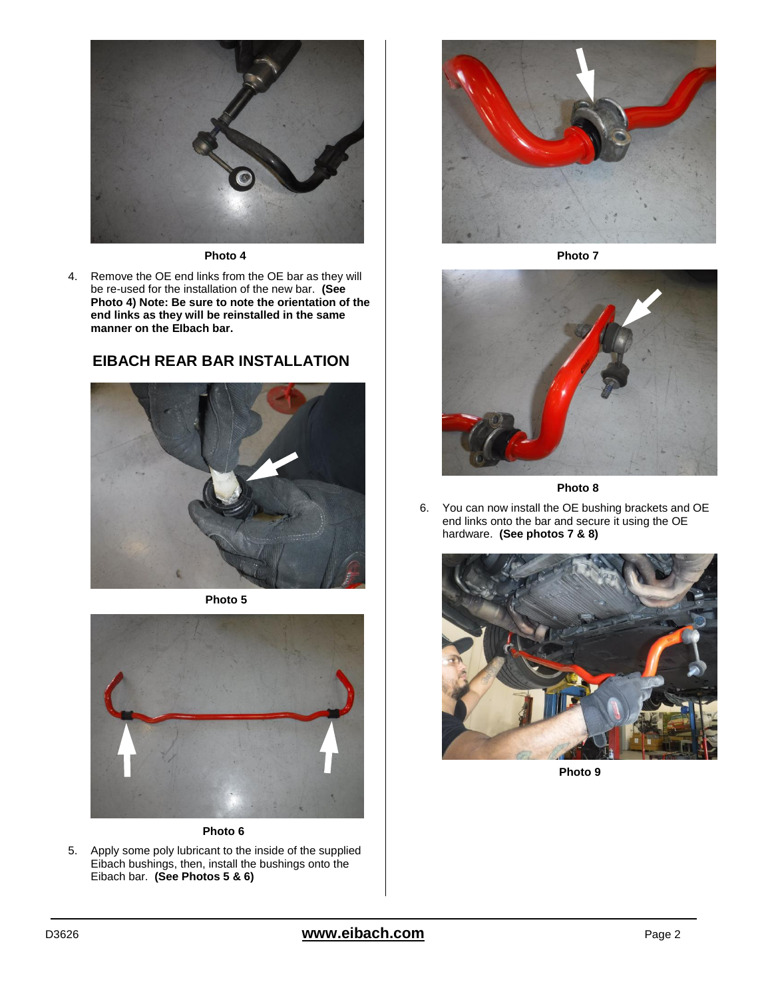

#### **Photo 4**

4. Remove the OE end links from the OE bar as they will be re-used for the installation of the new bar. **(See Photo 4) Note: Be sure to note the orientation of the end links as they will be reinstalled in the same manner on the EIbach bar.** 

#### **EIBACH REAR BAR INSTALLATION**



**Photo 5**



**Photo 6**

5. Apply some poly lubricant to the inside of the supplied Eibach bushings, then, install the bushings onto the Eibach bar. **(See Photos 5 & 6)**



**Photo 7**



**Photo 8**

6. You can now install the OE bushing brackets and OE end links onto the bar and secure it using the OE hardware. **(See photos 7 & 8)**



**Photo 9**